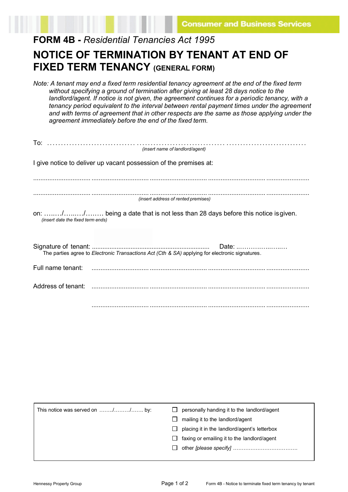| <b>FORM 4B - Residential Tenancies Act 1995</b>                                                                                                                                                                                                                                                                                                                                                                                                                                                                                                    |                                                                                                          |  |
|----------------------------------------------------------------------------------------------------------------------------------------------------------------------------------------------------------------------------------------------------------------------------------------------------------------------------------------------------------------------------------------------------------------------------------------------------------------------------------------------------------------------------------------------------|----------------------------------------------------------------------------------------------------------|--|
| NOTICE OF TERMINATION BY TENANT AT END OF<br><b>FIXED TERM TENANCY (GENERAL FORM)</b>                                                                                                                                                                                                                                                                                                                                                                                                                                                              |                                                                                                          |  |
| Note: A tenant may end a fixed term residential tenancy agreement at the end of the fixed term<br>without specifying a ground of termination after giving at least 28 days notice to the<br>landlord/agent. If notice is not given, the agreement continues for a periodic tenancy, with a<br>tenancy period equivalent to the interval between rental payment times under the agreement<br>and with terms of agreement that in other respects are the same as those applying under the<br>agreement immediately before the end of the fixed term. |                                                                                                          |  |
|                                                                                                                                                                                                                                                                                                                                                                                                                                                                                                                                                    | (insert name of landlord/agent)                                                                          |  |
| I give notice to deliver up vacant possession of the premises at:                                                                                                                                                                                                                                                                                                                                                                                                                                                                                  |                                                                                                          |  |
|                                                                                                                                                                                                                                                                                                                                                                                                                                                                                                                                                    |                                                                                                          |  |
|                                                                                                                                                                                                                                                                                                                                                                                                                                                                                                                                                    | (insert address of rented premises)                                                                      |  |
| (insert date the fixed term ends)                                                                                                                                                                                                                                                                                                                                                                                                                                                                                                                  | on: // being a date that is not less than 28 days before this notice is given.                           |  |
|                                                                                                                                                                                                                                                                                                                                                                                                                                                                                                                                                    | Date:<br>The parties agree to Electronic Transactions Act (Cth & SA) applying for electronic signatures. |  |
| Full name tenant:                                                                                                                                                                                                                                                                                                                                                                                                                                                                                                                                  |                                                                                                          |  |
| Address of tenant:                                                                                                                                                                                                                                                                                                                                                                                                                                                                                                                                 |                                                                                                          |  |
|                                                                                                                                                                                                                                                                                                                                                                                                                                                                                                                                                    |                                                                                                          |  |

| This notice was served on // by: | personally handing it to the landlord/agent  |
|----------------------------------|----------------------------------------------|
|                                  | mailing it to the landlord/agent             |
|                                  | placing it in the landlord/agent's letterbox |
|                                  | faxing or emailing it to the landlord/agent  |
|                                  |                                              |
|                                  |                                              |